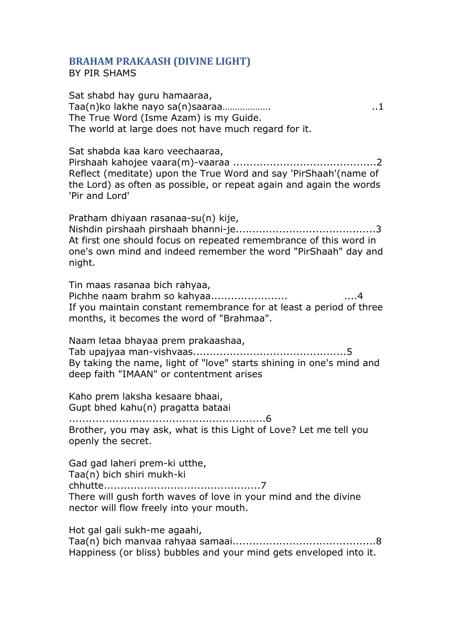## **BRAHAM PRAKAASH (DIVINE LIGHT)**

BY PIR SHAMS

Sat shabd hay guru hamaaraa, Taa(n)ko lakhe nayo sa(n)saaraa………………. ..1 The True Word (Isme Azam) is my Guide. The world at large does not have much regard for it.

Sat shabda kaa karo veechaaraa, Pirshaah kahojee vaara(m)-vaaraa ...........................................2 Reflect (meditate) upon the True Word and say 'PirShaah'(name of the Lord) as often as possible, or repeat again and again the words 'Pir and Lord'

Pratham dhiyaan rasanaa-su(n) kije, Nishdin pirshaah pirshaah bhanni-je..........................................3 At first one should focus on repeated remembrance of this word in one's own mind and indeed remember the word "PirShaah" day and night.

Tin maas rasanaa bich rahyaa, Pichhe naam brahm so kahyaa....................... ....4 If you maintain constant remembrance for at least a period of three months, it becomes the word of "Brahmaa".

Naam letaa bhayaa prem prakaashaa, Tab upajyaa man-vishvaas..............................................5 By taking the name, light of "love" starts shining in one's mind and deep faith "IMAAN" or contentment arises

Kaho prem laksha kesaare bhaai, Gupt bhed kahu(n) pragatta bataai

...........................................................6 Brother, you may ask, what is this Light of Love? Let me tell you openly the secret.

Gad gad laheri prem-ki utthe, Taa(n) bich shiri mukh-ki chhutte...............................................7 There will gush forth waves of love in your mind and the divine nector will flow freely into your mouth.

Hot gal gali sukh-me agaahi, Taa(n) bich manvaa rahyaa samaai...........................................8 Happiness (or bliss) bubbles and your mind gets enveloped into it.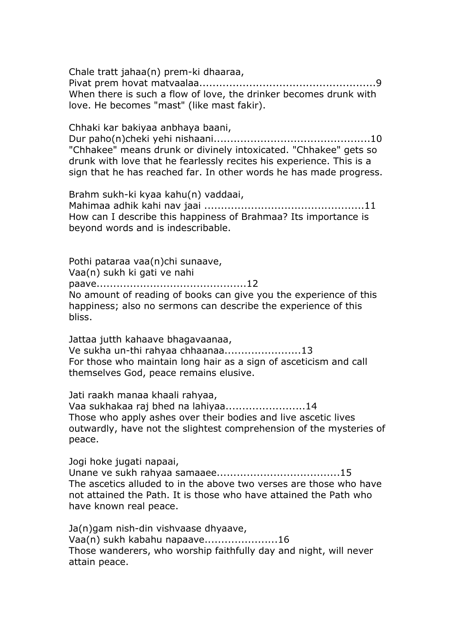Chale tratt jahaa(n) prem-ki dhaaraa, Pivat prem hovat matvaalaa.....................................................9 When there is such a flow of love, the drinker becomes drunk with love. He becomes "mast" (like mast fakir).

Chhaki kar bakiyaa anbhaya baani, Dur paho(n)cheki yehi nishaani...............................................10 "Chhakee" means drunk or divinely intoxicated. "Chhakee" gets so drunk with love that he fearlessly recites his experience. This is a sign that he has reached far. In other words he has made progress.

Brahm sukh-ki kyaa kahu(n) vaddaai, Mahimaa adhik kahi nav jaai ................................................11 How can I describe this happiness of Brahmaa? Its importance is beyond words and is indescribable.

Pothi pataraa vaa(n)chi sunaave, Vaa(n) sukh ki gati ve nahi paave.............................................12 No amount of reading of books can give you the experience of this happiness; also no sermons can describe the experience of this bliss.

Jattaa jutth kahaave bhagavaanaa, Ve sukha un-thi rahyaa chhaanaa.......................13 For those who maintain long hair as a sign of asceticism and call themselves God, peace remains elusive.

Jati raakh manaa khaali rahyaa, Vaa sukhakaa raj bhed na lahiyaa........................14 Those who apply ashes over their bodies and live ascetic lives outwardly, have not the slightest comprehension of the mysteries of peace.

Jogi hoke jugati napaai,

Unane ve sukh rahyaa samaaee.....................................15 The ascetics alluded to in the above two verses are those who have not attained the Path. It is those who have attained the Path who have known real peace.

Ja(n)gam nish-din vishvaase dhyaave, Vaa(n) sukh kabahu napaave......................16 Those wanderers, who worship faithfully day and night, will never attain peace.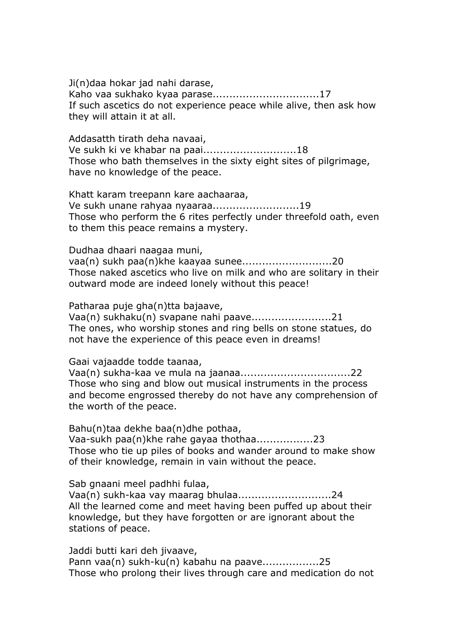Ji(n)daa hokar jad nahi darase, Kaho vaa sukhako kyaa parase................................17 If such ascetics do not experience peace while alive, then ask how they will attain it at all.

Addasatth tirath deha navaai, Ve sukh ki ve khabar na paai............................18 Those who bath themselves in the sixty eight sites of pilgrimage, have no knowledge of the peace.

Khatt karam treepann kare aachaaraa, Ve sukh unane rahyaa nyaaraa..........................19 Those who perform the 6 rites perfectly under threefold oath, even to them this peace remains a mystery.

Dudhaa dhaari naagaa muni, vaa(n) sukh paa(n)khe kaayaa sunee...........................20 Those naked ascetics who live on milk and who are solitary in their outward mode are indeed lonely without this peace!

Patharaa puje gha(n)tta bajaave,

Vaa(n) sukhaku(n) svapane nahi paave........................21 The ones, who worship stones and ring bells on stone statues, do not have the experience of this peace even in dreams!

Gaai vajaadde todde taanaa,

Vaa(n) sukha-kaa ve mula na jaanaa.................................22 Those who sing and blow out musical instruments in the process and become engrossed thereby do not have any comprehension of the worth of the peace.

Bahu(n)taa dekhe baa(n)dhe pothaa, Vaa-sukh paa(n)khe rahe gayaa thothaa.................23 Those who tie up piles of books and wander around to make show of their knowledge, remain in vain without the peace.

Sab gnaani meel padhhi fulaa,

Vaa(n) sukh-kaa vay maarag bhulaa............................24 All the learned come and meet having been puffed up about their knowledge, but they have forgotten or are ignorant about the stations of peace.

Jaddi butti kari deh jivaave,

Pann vaa(n) sukh-ku(n) kabahu na paave.................25 Those who prolong their lives through care and medication do not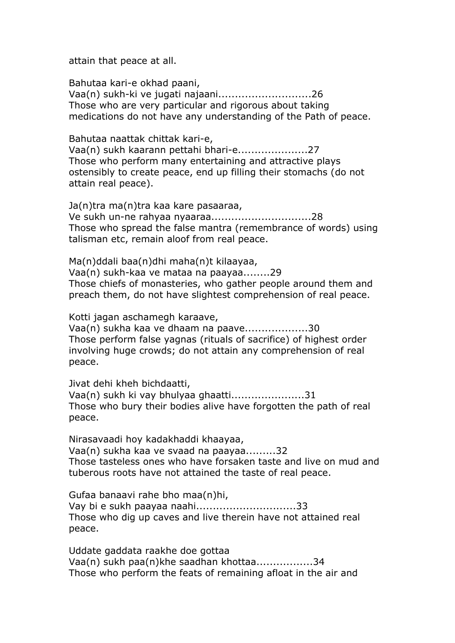attain that peace at all.

Bahutaa kari-e okhad paani, Vaa(n) sukh-ki ve jugati najaani............................26 Those who are very particular and rigorous about taking medications do not have any understanding of the Path of peace.

Bahutaa naattak chittak kari-e, Vaa(n) sukh kaarann pettahi bhari-e.....................27 Those who perform many entertaining and attractive plays ostensibly to create peace, end up filling their stomachs (do not attain real peace).

Ja(n)tra ma(n)tra kaa kare pasaaraa, Ve sukh un-ne rahyaa nyaaraa..............................28 Those who spread the false mantra (remembrance of words) using talisman etc, remain aloof from real peace.

Ma(n)ddali baa(n)dhi maha(n)t kilaayaa, Vaa(n) sukh-kaa ve mataa na paayaa........29 Those chiefs of monasteries, who gather people around them and preach them, do not have slightest comprehension of real peace.

Kotti jagan aschamegh karaave,

Vaa(n) sukha kaa ve dhaam na paave...................30 Those perform false yagnas (rituals of sacrifice) of highest order involving huge crowds; do not attain any comprehension of real peace.

Jivat dehi kheh bichdaatti,

Vaa(n) sukh ki vay bhulyaa ghaatti......................31 Those who bury their bodies alive have forgotten the path of real peace.

Nirasavaadi hoy kadakhaddi khaayaa, Vaa(n) sukha kaa ve svaad na paayaa.........32 Those tasteless ones who have forsaken taste and live on mud and tuberous roots have not attained the taste of real peace.

Gufaa banaavi rahe bho maa(n)hi, Vay bi e sukh paayaa naahi..............................33 Those who dig up caves and live therein have not attained real peace.

Uddate gaddata raakhe doe gottaa Vaa(n) sukh paa(n)khe saadhan khottaa.................34 Those who perform the feats of remaining afloat in the air and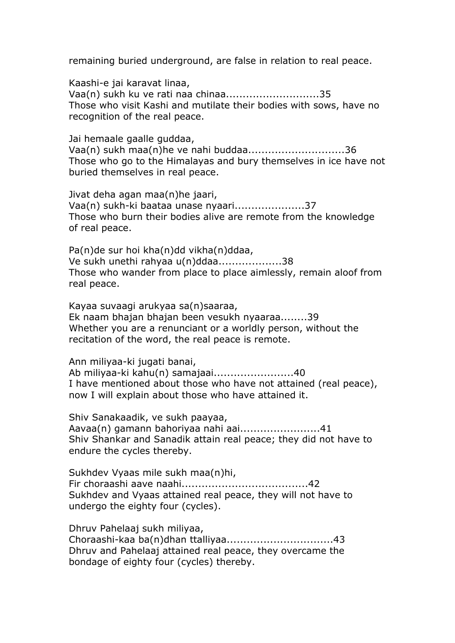remaining buried underground, are false in relation to real peace.

Kaashi-e jai karavat linaa, Vaa(n) sukh ku ve rati naa chinaa............................35 Those who visit Kashi and mutilate their bodies with sows, have no recognition of the real peace.

Jai hemaale gaalle guddaa, Vaa(n) sukh maa(n)he ve nahi buddaa.............................36 Those who go to the Himalayas and bury themselves in ice have not buried themselves in real peace.

Jivat deha agan maa(n)he jaari, Vaa(n) sukh-ki baataa unase nyaari.....................37 Those who burn their bodies alive are remote from the knowledge of real peace.

Pa(n)de sur hoi kha(n)dd vikha(n)ddaa, Ve sukh unethi rahyaa u(n)ddaa...................38 Those who wander from place to place aimlessly, remain aloof from real peace.

Kayaa suvaagi arukyaa sa(n)saaraa, Ek naam bhajan bhajan been vesukh nyaaraa........39 Whether you are a renunciant or a worldly person, without the recitation of the word, the real peace is remote.

Ann miliyaa-ki jugati banai,

Ab miliyaa-ki kahu(n) samajaai........................40 I have mentioned about those who have not attained (real peace), now I will explain about those who have attained it.

Shiv Sanakaadik, ve sukh paayaa, Aavaa(n) gamann bahoriyaa nahi aai........................41 Shiv Shankar and Sanadik attain real peace; they did not have to endure the cycles thereby.

Sukhdev Vyaas mile sukh maa(n)hi, Fir choraashi aave naahi......................................42 Sukhdev and Vyaas attained real peace, they will not have to undergo the eighty four (cycles).

Dhruv Pahelaaj sukh miliyaa, Choraashi-kaa ba(n)dhan ttalliyaa................................43 Dhruv and Pahelaaj attained real peace, they overcame the bondage of eighty four (cycles) thereby.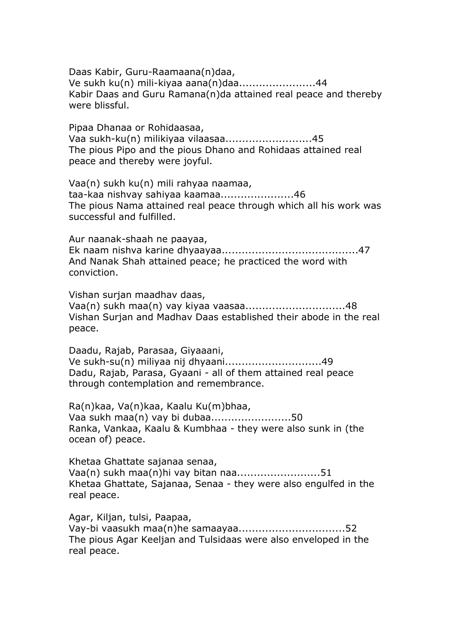Daas Kabir, Guru-Raamaana(n)daa, Ve sukh ku(n) mili-kiyaa aana(n)daa.......................44 Kabir Daas and Guru Ramana(n)da attained real peace and thereby were blissful.

Pipaa Dhanaa or Rohidaasaa, Vaa sukh-ku(n) milikiyaa vilaasaa..........................45 The pious Pipo and the pious Dhano and Rohidaas attained real peace and thereby were joyful.

Vaa(n) sukh ku(n) mili rahyaa naamaa, taa-kaa nishvay sahiyaa kaamaa......................46 The pious Nama attained real peace through which all his work was successful and fulfilled.

Aur naanak-shaah ne paayaa, Ek naam nishva karine dhyaayaa.........................................47 And Nanak Shah attained peace; he practiced the word with conviction.

Vishan surjan maadhav daas, Vaa(n) sukh maa(n) vay kiyaa vaasaa..............................48 Vishan Surjan and Madhav Daas established their abode in the real peace.

Daadu, Rajab, Parasaa, Giyaaani, Ve sukh-su(n) miliyaa nij dhyaani.............................49 Dadu, Rajab, Parasa, Gyaani - all of them attained real peace through contemplation and remembrance.

Ra(n)kaa, Va(n)kaa, Kaalu Ku(m)bhaa, Vaa sukh maa(n) vay bi dubaa........................50 Ranka, Vankaa, Kaalu & Kumbhaa - they were also sunk in (the ocean of) peace.

Khetaa Ghattate sajanaa senaa, Vaa(n) sukh maa(n)hi vay bitan naa.........................51 Khetaa Ghattate, Sajanaa, Senaa - they were also engulfed in the real peace.

Agar, Kiljan, tulsi, Paapaa, Vay-bi vaasukh maa(n)he samaayaa................................52 The pious Agar Keeljan and Tulsidaas were also enveloped in the real peace.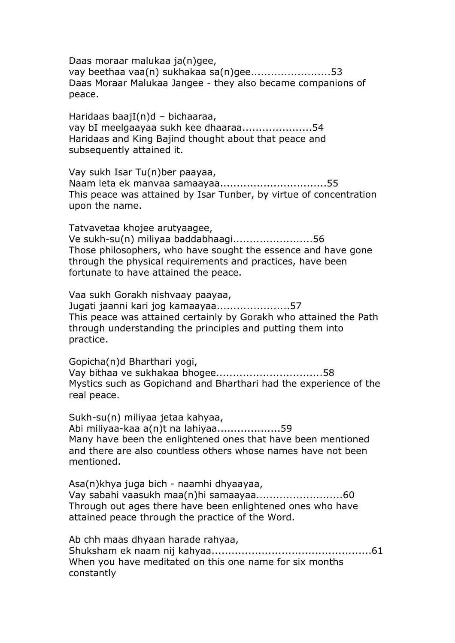Daas moraar malukaa ja(n)gee, vay beethaa vaa(n) sukhakaa sa(n)gee........................53 Daas Moraar Malukaa Jangee - they also became companions of peace.

Haridaas baajI(n)d – bichaaraa, vay bI meelgaayaa sukh kee dhaaraa.....................54 Haridaas and King Bajind thought about that peace and subsequently attained it.

Vay sukh Isar Tu(n)ber paayaa, Naam leta ek manvaa samaayaa................................55 This peace was attained by Isar Tunber, by virtue of concentration upon the name.

Tatvavetaa khojee arutyaagee, Ve sukh-su(n) miliyaa baddabhaagi........................56 Those philosophers, who have sought the essence and have gone through the physical requirements and practices, have been fortunate to have attained the peace.

Vaa sukh Gorakh nishvaay paayaa, Jugati jaanni kari jog kamaayaa......................57 This peace was attained certainly by Gorakh who attained the Path through understanding the principles and putting them into practice.

Gopicha(n)d Bharthari yogi, Vay bithaa ve sukhakaa bhogee................................58 Mystics such as Gopichand and Bharthari had the experience of the real peace.

Sukh-su(n) miliyaa jetaa kahyaa, Abi miliyaa-kaa a(n)t na lahiyaa...................59 Many have been the enlightened ones that have been mentioned and there are also countless others whose names have not been mentioned.

Asa(n)khya juga bich - naamhi dhyaayaa, Vay sabahi vaasukh maa(n)hi samaayaa..........................60 Through out ages there have been enlightened ones who have attained peace through the practice of the Word.

Ab chh maas dhyaan harade rahyaa, Shuksham ek naam nij kahyaa................................................61 When you have meditated on this one name for six months constantly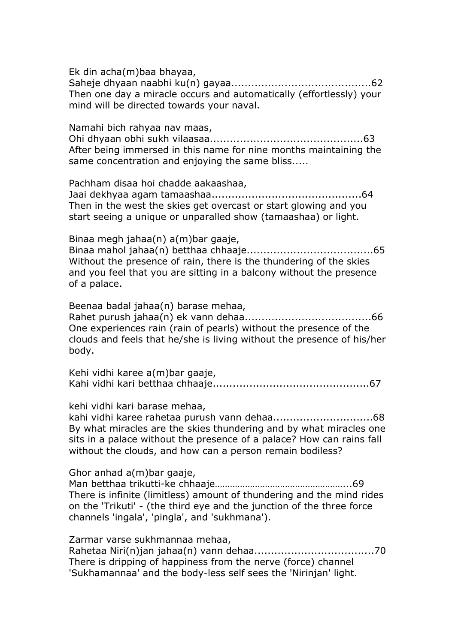Ek din acha(m)baa bhayaa, Saheje dhyaan naabhi ku(n) gayaa..........................................62 Then one day a miracle occurs and automatically (effortlessly) your mind will be directed towards your naval.

Namahi bich rahyaa nav maas, Ohi dhyaan obhi sukh vilaasaa..............................................63 After being immersed in this name for nine months maintaining the same concentration and enjoying the same bliss.....

Pachham disaa hoi chadde aakaashaa,

Jaai dekhyaa agam tamaashaa.............................................64 Then in the west the skies get overcast or start glowing and you start seeing a unique or unparalled show (tamaashaa) or light.

Binaa megh jahaa(n) a(m)bar gaaje, Binaa mahol jahaa(n) betthaa chhaaje......................................65 Without the presence of rain, there is the thundering of the skies and you feel that you are sitting in a balcony without the presence of a palace.

Beenaa badal jahaa(n) barase mehaa,

Rahet purush jahaa(n) ek vann dehaa......................................66 One experiences rain (rain of pearls) without the presence of the clouds and feels that he/she is living without the presence of his/her body.

Kehi vidhi karee a(m)bar gaaje, Kahi vidhi kari betthaa chhaaje...............................................67

kehi vidhi kari barase mehaa,

kahi vidhi karee rahetaa purush vann dehaa..............................68 By what miracles are the skies thundering and by what miracles one sits in a palace without the presence of a palace? How can rains fall without the clouds, and how can a person remain bodiless?

Ghor anhad a(m)bar gaaje,

Man betthaa trikutti-ke chhaaje……………………………………………...69 There is infinite (limitless) amount of thundering and the mind rides on the 'Trikuti' - (the third eye and the junction of the three force channels 'ingala', 'pingla', and 'sukhmana').

Zarmar varse sukhmannaa mehaa, Rahetaa Niri(n)jan jahaa(n) vann dehaa....................................70 There is dripping of happiness from the nerve (force) channel 'Sukhamannaa' and the body-less self sees the 'Nirinjan' light.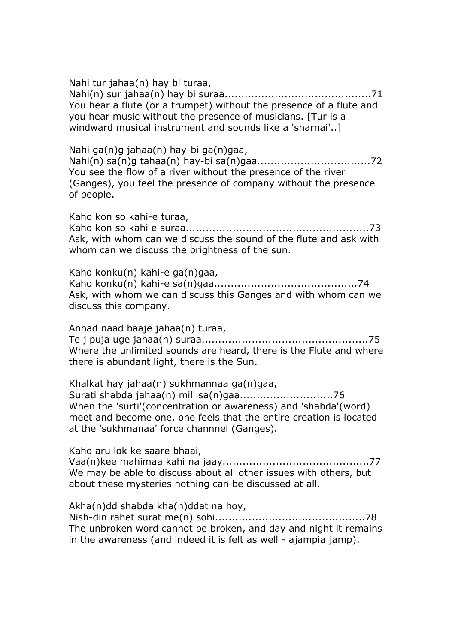Nahi tur jahaa(n) hay bi turaa, Nahi(n) sur jahaa(n) hay bi suraa............................................71 You hear a flute (or a trumpet) without the presence of a flute and you hear music without the presence of musicians. [Tur is a windward musical instrument and sounds like a 'sharnai'..]

Nahi ga(n)g jahaa(n) hay-bi ga(n)gaa,

Nahi(n) sa(n)g tahaa(n) hay-bi sa(n)gaa..................................72 You see the flow of a river without the presence of the river (Ganges), you feel the presence of company without the presence of people.

Kaho kon so kahi-e turaa,

Kaho kon so kahi e suraa.......................................................73 Ask, with whom can we discuss the sound of the flute and ask with whom can we discuss the brightness of the sun.

Kaho konku(n) kahi-e ga(n)gaa, Kaho konku(n) kahi-e sa(n)gaa...........................................74 Ask, with whom we can discuss this Ganges and with whom can we discuss this company.

Anhad naad baaje jahaa(n) turaa, Te j puja uge jahaa(n) suraa..................................................75 Where the unlimited sounds are heard, there is the Flute and where there is abundant light, there is the Sun.

Khalkat hay jahaa(n) sukhmannaa ga(n)gaa, Surati shabda jahaa(n) mili sa(n)gaa............................76 When the 'surti'(concentration or awareness) and 'shabda'(word) meet and become one, one feels that the entire creation is located at the 'sukhmanaa' force channnel (Ganges).

Kaho aru lok ke saare bhaai, Vaa(n)kee mahimaa kahi na jaay............................................77 We may be able to discuss about all other issues with others, but about these mysteries nothing can be discussed at all.

Akha(n)dd shabda kha(n)ddat na hoy, Nish-din rahet surat me(n) sohi.............................................78 The unbroken word cannot be broken, and day and night it remains in the awareness (and indeed it is felt as well - ajampia jamp).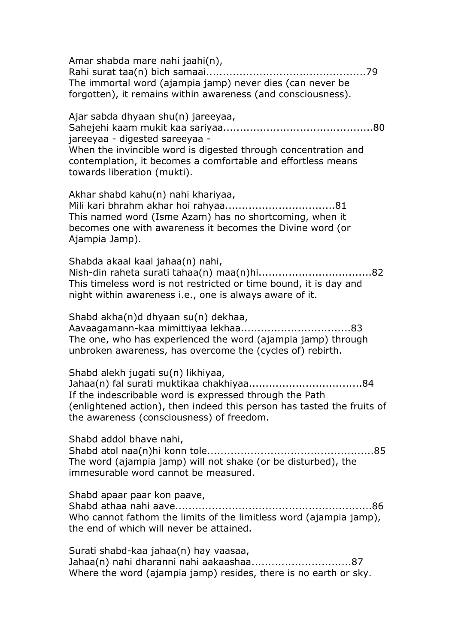Amar shabda mare nahi jaahi(n), Rahi surat taa(n) bich samaai................................................79 The immortal word (ajampia jamp) never dies (can never be forgotten), it remains within awareness (and consciousness). Ajar sabda dhyaan shu(n) jareeyaa, Sahejehi kaam mukit kaa sariyaa.............................................80 jareeyaa - digested sareeyaa - When the invincible word is digested through concentration and contemplation, it becomes a comfortable and effortless means towards liberation (mukti). Akhar shabd kahu(n) nahi khariyaa, Mili kari bhrahm akhar hoi rahyaa.................................81 This named word (Isme Azam) has no shortcoming, when it becomes one with awareness it becomes the Divine word (or Ajampia Jamp). Shabda akaal kaal jahaa(n) nahi, Nish-din raheta surati tahaa(n) maa(n)hi..................................82 This timeless word is not restricted or time bound, it is day and night within awareness i.e., one is always aware of it. Shabd akha(n)d dhyaan su(n) dekhaa, Aavaagamann-kaa mimittiyaa lekhaa.................................83 The one, who has experienced the word (ajampia jamp) through unbroken awareness, has overcome the (cycles of) rebirth. Shabd alekh jugati su(n) likhiyaa, Jahaa(n) fal surati muktikaa chakhiyaa..................................84 If the indescribable word is expressed through the Path (enlightened action), then indeed this person has tasted the fruits of the awareness (consciousness) of freedom. Shabd addol bhave nahi, Shabd atol naa(n)hi konn tole..................................................85 The word (ajampia jamp) will not shake (or be disturbed), the immesurable word cannot be measured. Shabd apaar paar kon paave, Shabd athaa nahi aave...........................................................86 Who cannot fathom the limits of the limitless word (ajampia jamp), the end of which will never be attained. Surati shabd-kaa jahaa(n) hay vaasaa, Jahaa(n) nahi dharanni nahi aakaashaa..............................87 Where the word (ajampia jamp) resides, there is no earth or sky.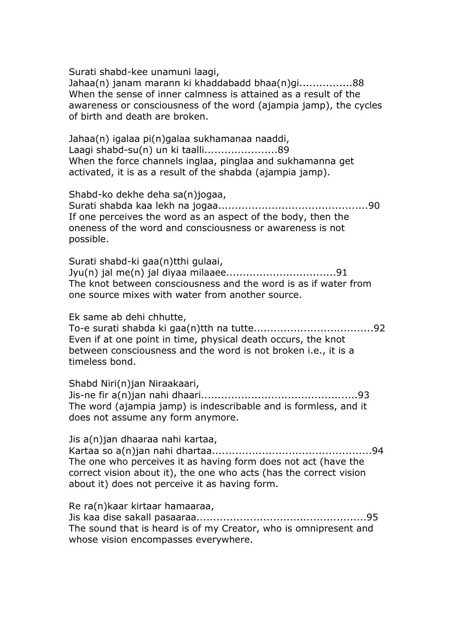Surati shabd-kee unamuni laagi,

Jahaa(n) janam marann ki khaddabadd bhaa(n)gi................88 When the sense of inner calmness is attained as a result of the awareness or consciousness of the word (ajampia jamp), the cycles of birth and death are broken.

Jahaa(n) igalaa pi(n)galaa sukhamanaa naaddi, Laagi shabd-su(n) un ki taalli......................89 When the force channels inglaa, pinglaa and sukhamanna get activated, it is as a result of the shabda (ajampia jamp).

Shabd-ko dekhe deha sa(n)jogaa, Surati shabda kaa lekh na jogaa.............................................90 If one perceives the word as an aspect of the body, then the oneness of the word and consciousness or awareness is not possible.

Surati shabd-ki gaa(n)tthi gulaai, Jyu(n) jal me(n) jal diyaa milaaee.................................91 The knot between consciousness and the word is as if water from one source mixes with water from another source.

Ek same ab dehi chhutte,

To-e surati shabda ki gaa(n)tth na tutte....................................92 Even if at one point in time, physical death occurs, the knot between consciousness and the word is not broken i.e., it is a timeless bond.

Shabd Niri(n)jan Niraakaari, Jis-ne fir a(n)jan nahi dhaari...............................................93 The word (ajampia jamp) is indescribable and is formless, and it does not assume any form anymore.

Jis a(n)jan dhaaraa nahi kartaa,

Kartaa so a(n)jan nahi dhartaa................................................94 The one who perceives it as having form does not act (have the correct vision about it), the one who acts (has the correct vision about it) does not perceive it as having form.

Re ra(n)kaar kirtaar hamaaraa,

Jis kaa dise sakall pasaaraa...................................................95 The sound that is heard is of my Creator, who is omnipresent and whose vision encompasses everywhere.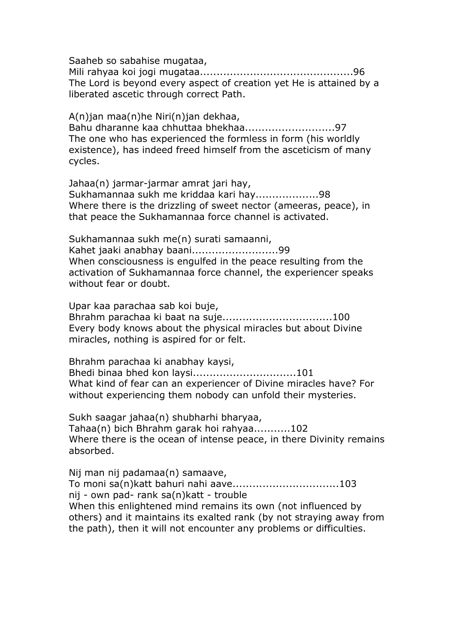Saaheb so sabahise mugataa,

Mili rahyaa koi jogi mugataa..............................................96 The Lord is beyond every aspect of creation yet He is attained by a liberated ascetic through correct Path.

A(n)jan maa(n)he Niri(n)jan dekhaa, Bahu dharanne kaa chhuttaa bhekhaa...........................97 The one who has experienced the formless in form (his worldly existence), has indeed freed himself from the asceticism of many cycles.

Jahaa(n) jarmar-jarmar amrat jari hay, Sukhamannaa sukh me kriddaa kari hay...................98 Where there is the drizzling of sweet nector (ameeras, peace), in that peace the Sukhamannaa force channel is activated.

Sukhamannaa sukh me(n) surati samaanni, Kahet jaaki anabhay baani..........................99 When consciousness is engulfed in the peace resulting from the activation of Sukhamannaa force channel, the experiencer speaks without fear or doubt.

Upar kaa parachaa sab koi buje, Bhrahm parachaa ki baat na suje.................................100 Every body knows about the physical miracles but about Divine miracles, nothing is aspired for or felt.

Bhrahm parachaa ki anabhay kaysi,

Bhedi binaa bhed kon laysi...............................101 What kind of fear can an experiencer of Divine miracles have? For without experiencing them nobody can unfold their mysteries.

Sukh saagar jahaa(n) shubharhi bharyaa, Tahaa(n) bich Bhrahm garak hoi rahyaa...........102 Where there is the ocean of intense peace, in there Divinity remains absorbed.

Nij man nij padamaa(n) samaave, To moni sa(n)katt bahuri nahi aave................................103 nij - own pad- rank sa(n)katt - trouble When this enlightened mind remains its own (not influenced by others) and it maintains its exalted rank (by not straying away from the path), then it will not encounter any problems or difficulties.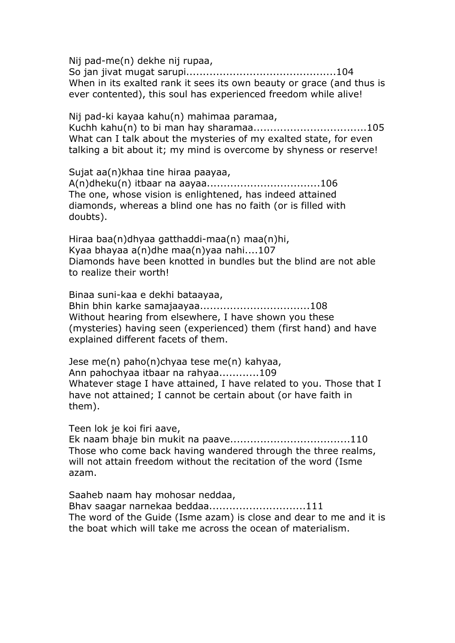Nij pad-me(n) dekhe nij rupaa,

So jan jivat mugat sarupi.............................................104 When in its exalted rank it sees its own beauty or grace (and thus is ever contented), this soul has experienced freedom while alive!

Nij pad-ki kayaa kahu(n) mahimaa paramaa, Kuchh kahu(n) to bi man hay sharamaa..................................105 What can I talk about the mysteries of my exalted state, for even talking a bit about it; my mind is overcome by shyness or reserve!

Sujat aa(n)khaa tine hiraa paayaa, A(n)dheku(n) itbaar na aayaa..................................106 The one, whose vision is enlightened, has indeed attained diamonds, whereas a blind one has no faith (or is filled with doubts).

Hiraa baa(n)dhyaa gatthaddi-maa(n) maa(n)hi, Kyaa bhayaa a(n)dhe maa(n)yaa nahi....107 Diamonds have been knotted in bundles but the blind are not able to realize their worth!

Binaa suni-kaa e dekhi bataayaa, Bhin bhin karke samajaayaa.................................108 Without hearing from elsewhere, I have shown you these (mysteries) having seen (experienced) them (first hand) and have explained different facets of them.

Jese me(n) paho(n)chyaa tese me(n) kahyaa, Ann pahochyaa itbaar na rahyaa............109 Whatever stage I have attained, I have related to you. Those that I have not attained; I cannot be certain about (or have faith in them).

Teen lok je koi firi aave,

Ek naam bhaje bin mukit na paave....................................110 Those who come back having wandered through the three realms, will not attain freedom without the recitation of the word (Isme azam.

Saaheb naam hay mohosar neddaa, Bhav saagar narnekaa beddaa.............................111 The word of the Guide (Isme azam) is close and dear to me and it is the boat which will take me across the ocean of materialism.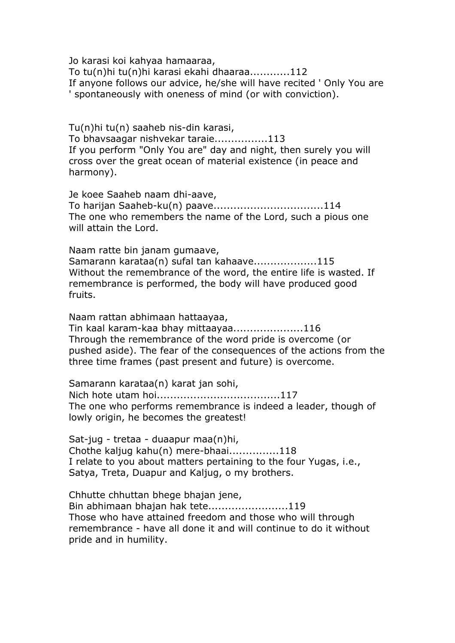Jo karasi koi kahyaa hamaaraa, To tu(n)hi tu(n)hi karasi ekahi dhaaraa............112 If anyone follows our advice, he/she will have recited ' Only You are ' spontaneously with oneness of mind (or with conviction).

Tu(n)hi tu(n) saaheb nis-din karasi, To bhavsaagar nishvekar taraie................113 If you perform "Only You are" day and night, then surely you will cross over the great ocean of material existence (in peace and harmony).

Je koee Saaheb naam dhi-aave, To harijan Saaheb-ku(n) paave.................................114 The one who remembers the name of the Lord, such a pious one will attain the Lord.

Naam ratte bin janam gumaave, Samarann karataa(n) sufal tan kahaave...................115 Without the remembrance of the word, the entire life is wasted. If remembrance is performed, the body will have produced good fruits.

Naam rattan abhimaan hattaayaa, Tin kaal karam-kaa bhay mittaayaa.....................116 Through the remembrance of the word pride is overcome (or pushed aside). The fear of the consequences of the actions from the three time frames (past present and future) is overcome.

Samarann karataa(n) karat jan sohi, Nich hote utam hoi.....................................117 The one who performs remembrance is indeed a leader, though of lowly origin, he becomes the greatest!

Sat-jug - tretaa - duaapur maa(n)hi, Chothe kaljug kahu(n) mere-bhaai...............118 I relate to you about matters pertaining to the four Yugas, i.e., Satya, Treta, Duapur and Kaljug, o my brothers.

Chhutte chhuttan bhege bhajan jene, Bin abhimaan bhajan hak tete........................119 Those who have attained freedom and those who will through remembrance - have all done it and will continue to do it without pride and in humility.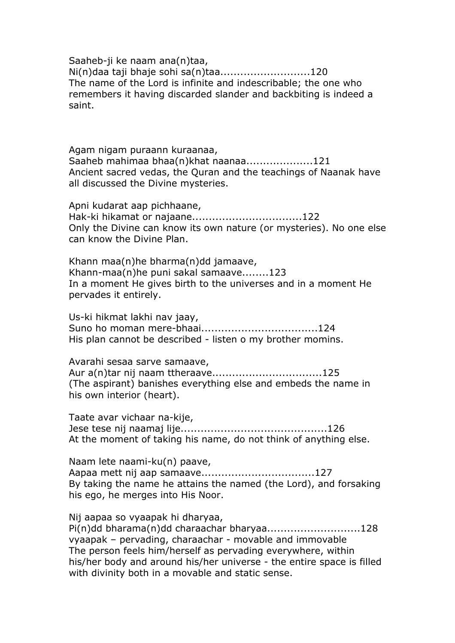Saaheb-ji ke naam ana(n)taa, Ni(n)daa taji bhaje sohi sa(n)taa...........................120 The name of the Lord is infinite and indescribable; the one who remembers it having discarded slander and backbiting is indeed a saint.

Agam nigam puraann kuraanaa, Saaheb mahimaa bhaa(n)khat naanaa....................121 Ancient sacred vedas, the Quran and the teachings of Naanak have all discussed the Divine mysteries.

Apni kudarat aap pichhaane, Hak-ki hikamat or najaane.................................122 Only the Divine can know its own nature (or mysteries). No one else can know the Divine Plan.

Khann maa(n)he bharma(n)dd jamaave, Khann-maa(n)he puni sakal samaave........123 In a moment He gives birth to the universes and in a moment He pervades it entirely.

Us-ki hikmat lakhi nav jaay, Suno ho moman mere-bhaai...................................124 His plan cannot be described - listen o my brother momins.

Avarahi sesaa sarve samaave, Aur a(n)tar nij naam ttheraave.................................125 (The aspirant) banishes everything else and embeds the name in his own interior (heart).

Taate avar vichaar na-kije, Jese tese nij naamaj lije............................................126 At the moment of taking his name, do not think of anything else.

Naam lete naami-ku(n) paave, Aapaa mett nij aap samaave..................................127 By taking the name he attains the named (the Lord), and forsaking his ego, he merges into His Noor.

Nij aapaa so vyaapak hi dharyaa, Pi(n)dd bharama(n)dd charaachar bharyaa............................128 vyaapak – pervading, charaachar - movable and immovable The person feels him/herself as pervading everywhere, within his/her body and around his/her universe - the entire space is filled with divinity both in a movable and static sense.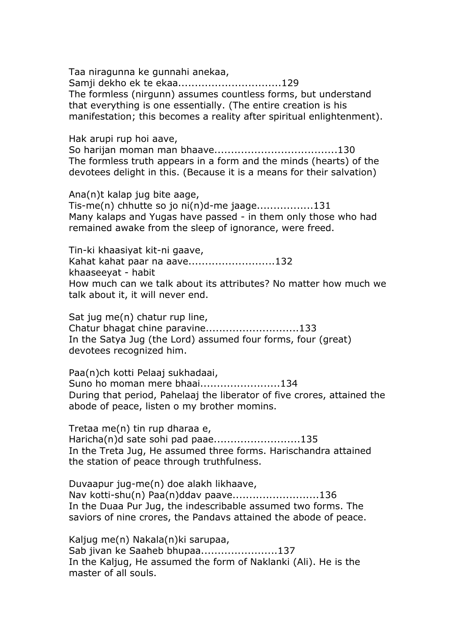Taa niragunna ke gunnahi anekaa, Samji dekho ek te ekaa...............................129 The formless (nirgunn) assumes countless forms, but understand that everything is one essentially. (The entire creation is his manifestation; this becomes a reality after spiritual enlightenment).

Hak arupi rup hoi aave,

So harijan moman man bhaave.....................................130 The formless truth appears in a form and the minds (hearts) of the devotees delight in this. (Because it is a means for their salvation)

Ana(n)t kalap jug bite aage, Tis-me(n) chhutte so jo ni(n)d-me jaage.................131 Many kalaps and Yugas have passed - in them only those who had remained awake from the sleep of ignorance, were freed.

Tin-ki khaasiyat kit-ni gaave, Kahat kahat paar na aave..........................132 khaaseeyat - habit How much can we talk about its attributes? No matter how much we talk about it, it will never end.

Sat jug me(n) chatur rup line, Chatur bhagat chine paravine............................133 In the Satya Jug (the Lord) assumed four forms, four (great) devotees recognized him.

Paa(n)ch kotti Pelaaj sukhadaai, Suno ho moman mere bhaai........................134 During that period, Pahelaaj the liberator of five crores, attained the abode of peace, listen o my brother momins.

Tretaa me(n) tin rup dharaa e, Haricha(n)d sate sohi pad paae..........................135 In the Treta Jug, He assumed three forms. Harischandra attained the station of peace through truthfulness.

Duvaapur jug-me(n) doe alakh likhaave, Nav kotti-shu(n) Paa(n)ddav paave..........................136 In the Duaa Pur Jug, the indescribable assumed two forms. The saviors of nine crores, the Pandavs attained the abode of peace.

Kaljug me(n) Nakala(n)ki sarupaa, Sab jivan ke Saaheb bhupaa.......................137 In the Kaljug, He assumed the form of Naklanki (Ali). He is the master of all souls.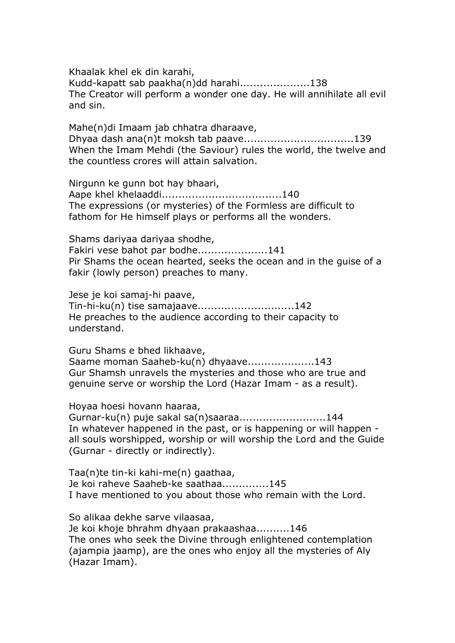Khaalak khel ek din karahi, Kudd-kapatt sab paakha(n)dd harahi.....................138 The Creator will perform a wonder one day. He will annihilate all evil and sin.

Mahe(n)di Imaam jab chhatra dharaave, Dhyaa dash ana(n)t moksh tab paave.................................139 When the Imam Mehdi (the Saviour) rules the world, the twelve and the countless crores will attain salvation.

Nirgunn ke gunn bot hay bhaari, Aape khel khelaaddi....................................140 The expressions (or mysteries) of the Formless are difficult to fathom for He himself plays or performs all the wonders.

Shams dariyaa dariyaa shodhe, Fakiri vese bahot par bodhe.....................141 Pir Shams the ocean hearted, seeks the ocean and in the guise of a fakir (lowly person) preaches to many.

Jese je koi samaj-hi paave, Tin-hi-ku(n) tise samajaave.............................142 He preaches to the audience according to their capacity to understand.

Guru Shams e bhed likhaave, Saame moman Saaheb-ku(n) dhyaave....................143 Gur Shamsh unravels the mysteries and those who are true and genuine serve or worship the Lord (Hazar Imam - as a result).

Hoyaa hoesi hovann haaraa,

Gurnar-ku(n) puje sakal sa(n)saaraa..........................144 In whatever happened in the past, or is happening or will happen all souls worshipped, worship or will worship the Lord and the Guide (Gurnar - directly or indirectly).

Taa(n)te tin-ki kahi-me(n) gaathaa, Je koi raheve Saaheb-ke saathaa..............145 I have mentioned to you about those who remain with the Lord.

So alikaa dekhe sarve vilaasaa, Je koi khoje bhrahm dhyaan prakaashaa..........146

The ones who seek the Divine through enlightened contemplation (ajampia jaamp), are the ones who enjoy all the mysteries of Aly (Hazar Imam).